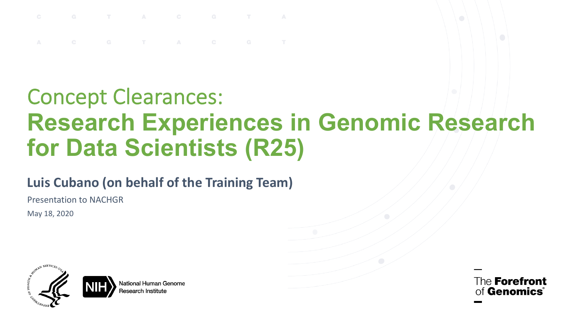T A C G

### Concept Clearances: **Research Experiences in Genomic Research for Data Scientists (R25)**

#### **Luis Cubano (on behalf of the Training Team)**

Presentation to NACHGR

May 18, 2020



lational Human Genome ≀esearch Institut≀

The **Forefront** of **Genomics**®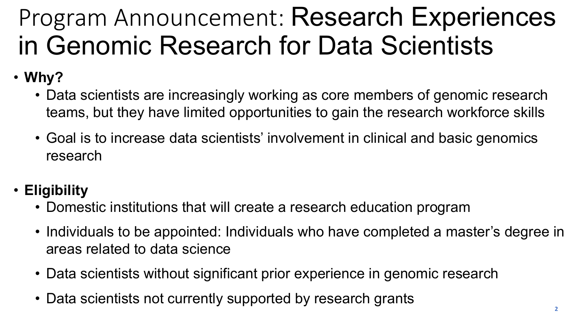# Program Announcement: Research Experiences in Genomic Research for Data Scientists

- **Why?**
	- Data scientists are increasingly working as core members of genomic research teams, but they have limited opportunities to gain the research workforce skills
	- Goal is to increase data scientists' involvement in clinical and basic genomics research
- **Eligibility**
	- Domestic institutions that will create a research education program
	- Individuals to be appointed: Individuals who have completed a master's degree in areas related to data science
	- Data scientists without significant prior experience in genomic research
	- Data scientists not currently supported by research grants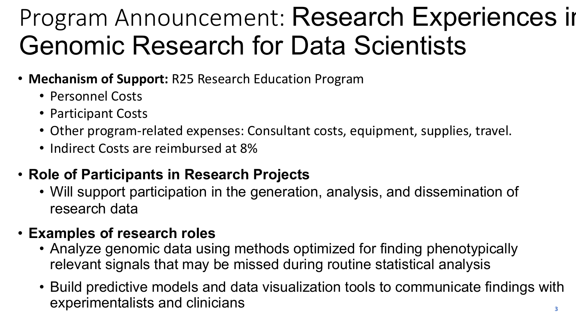# Program Announcement: Research Experiences in Genomic Research for Data Scientists

- **Mechanism of Support:** R25 Research Education Program
	- Personnel Costs
	- Participant Costs
	- Other program-related expenses: Consultant costs, equipment, supplies, travel.
	- Indirect Costs are reimbursed at 8%

### • **Role of Participants in Research Projects**

• Will support participation in the generation, analysis, and dissemination of research data

#### • **Examples of research roles**

- Analyze genomic data using methods optimized for finding phenotypically relevant signals that may be missed during routine statistical analysis
- Build predictive models and data visualization tools to communicate findings with experimentalists and clinicians **3**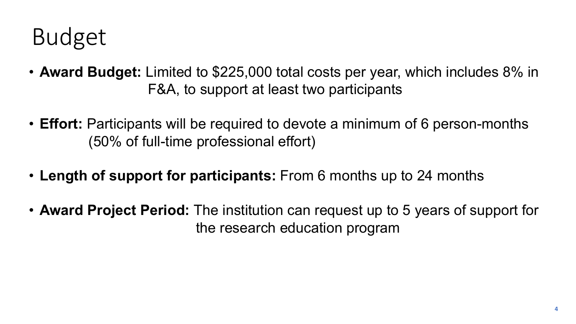### Budget

- **Award Budget:** Limited to \$225,000 total costs per year, which includes 8% in F&A, to support at least two participants
- **Effort:** Participants will be required to devote a minimum of 6 person-months (50% of full-time professional effort)
- **Length of support for participants:** From 6 months up to 24 months
- **Award Project Period:** The institution can request up to 5 years of support for the research education program